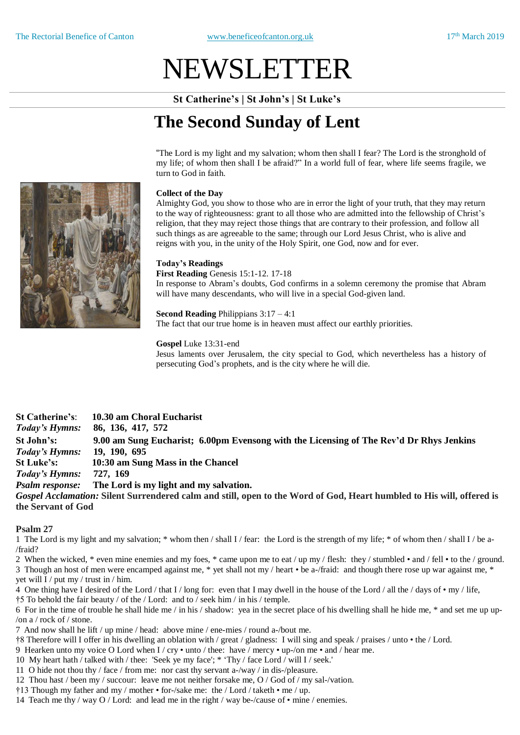# NEWSLETTER

**St Catherine's | St John's | St Luke's**

## **The Second Sunday of Lent**

"The Lord is my light and my salvation; whom then shall I fear? The Lord is the stronghold of my life; of whom then shall I be afraid?" In a world full of fear, where life seems fragile, we turn to God in faith.

### **Collect of the Day**

Almighty God, you show to those who are in error the light of your truth, that they may return to the way of righteousness: grant to all those who are admitted into the fellowship of Christ's religion, that they may reject those things that are contrary to their profession, and follow all such things as are agreeable to the same; through our Lord Jesus Christ, who is alive and reigns with you, in the unity of the Holy Spirit, one God, now and for ever.

### **Today's Readings**

**First Reading** Genesis 15:1-12. 17-18

In response to Abram's doubts, God confirms in a solemn ceremony the promise that Abram will have many descendants, who will live in a special God-given land.

**Second Reading** Philippians 3:17 – 4:1 The fact that our true home is in heaven must affect our earthly priorities.

### **Gospel** Luke 13:31-end

Jesus laments over Jerusalem, the city special to God, which nevertheless has a history of persecuting God's prophets, and is the city where he will die.

**St Catherine's**: **10.30 am Choral Eucharist**  *Today's Hymns:* **86, 136, 417, 572 St John's: 9.00 am Sung Eucharist; 6.00pm Evensong with the Licensing of The Rev'd Dr Rhys Jenkins** *Today's Hymns:* **19, 190, 695 St Luke's: 10:30 am Sung Mass in the Chancel** *Today's Hymns:* **727, 169** *Psalm response:* **The Lord is my light and my salvation.** *Gospel Acclamation:* **Silent Surrendered calm and still, open to the Word of God, Heart humbled to His will, offered is the Servant of God**

### **Psalm 27**

1 The Lord is my light and my salvation; \* whom then / shall I / fear: the Lord is the strength of my life; \* of whom then / shall I / be a- /fraid?

2 When the wicked, \* even mine enemies and my foes, \* came upon me to eat / up my / flesh: they / stumbled • and / fell • to the / ground. 3 Though an host of men were encamped against me, \* yet shall not my / heart • be a-/fraid: and though there rose up war against me, \* yet will I / put my / trust in / him.

4 One thing have I desired of the Lord / that I / long for: even that I may dwell in the house of the Lord / all the / days of  $\cdot$  my / life,

†5 To behold the fair beauty / of the / Lord: and to / seek him / in his / temple.

6 For in the time of trouble he shall hide me / in his / shadow: yea in the secret place of his dwelling shall he hide me, \* and set me up up- /on a / rock of / stone.

7 And now shall he lift / up mine / head: above mine / ene-mies / round a-/bout me.

- †8 Therefore will I offer in his dwelling an oblation with / great / gladness: I will sing and speak / praises / unto the / Lord.
- 9 Hearken unto my voice O Lord when I / cry unto / thee: have / mercy up-/on me and / hear me.
- 10 My heart hath / talked with / thee: 'Seek ye my face'; \* 'Thy / face Lord / will I / seek.'
- 11 O hide not thou thy / face / from me: nor cast thy servant a-/way / in dis-/pleasure.
- 12 Thou hast / been my / succour: leave me not neither forsake me, O / God of / my sal-/vation.
- †13 Though my father and my / mother for-/sake me: the / Lord / taketh me / up.
- 14 Teach me thy / way O / Lord: and lead me in the right / way be-/cause of mine / enemies.